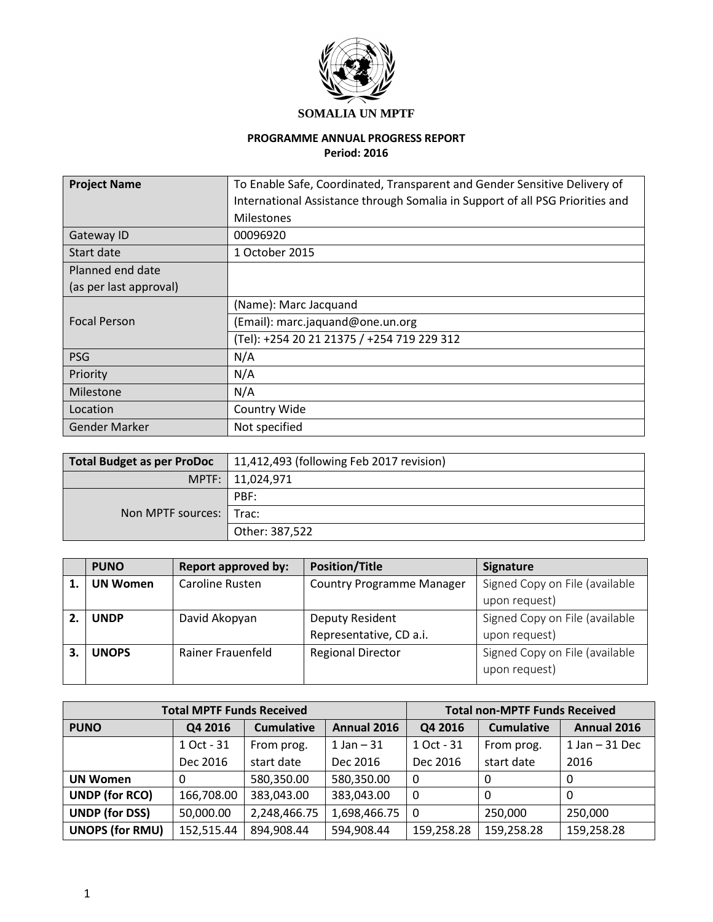

# **SOMALIA UN MPTF**

# **PROGRAMME ANNUAL PROGRESS REPORT Period: 2016**

| <b>Project Name</b>    | To Enable Safe, Coordinated, Transparent and Gender Sensitive Delivery of     |  |  |  |  |
|------------------------|-------------------------------------------------------------------------------|--|--|--|--|
|                        | International Assistance through Somalia in Support of all PSG Priorities and |  |  |  |  |
|                        | <b>Milestones</b>                                                             |  |  |  |  |
| Gateway ID             | 00096920                                                                      |  |  |  |  |
| Start date             | 1 October 2015                                                                |  |  |  |  |
| Planned end date       |                                                                               |  |  |  |  |
| (as per last approval) |                                                                               |  |  |  |  |
|                        | (Name): Marc Jacquand                                                         |  |  |  |  |
| <b>Focal Person</b>    | (Email): marc.jaquand@one.un.org                                              |  |  |  |  |
|                        | (Tel): +254 20 21 21375 / +254 719 229 312                                    |  |  |  |  |
| <b>PSG</b>             | N/A                                                                           |  |  |  |  |
| Priority               | N/A                                                                           |  |  |  |  |
| Milestone              | N/A                                                                           |  |  |  |  |
| Location               | Country Wide                                                                  |  |  |  |  |
| Gender Marker          | Not specified                                                                 |  |  |  |  |

| <b>Total Budget as per ProDoc</b> | 11,412,493 (following Feb 2017 revision) |  |  |
|-----------------------------------|------------------------------------------|--|--|
| MPTF: I                           | 11,024,971                               |  |  |
|                                   | PBF:                                     |  |  |
| Non MPTF sources:   Trac:         |                                          |  |  |
|                                   | Other: 387,522                           |  |  |

| <b>PUNO</b>     | <b>Report approved by:</b> | <b>Position/Title</b>            | <b>Signature</b>               |
|-----------------|----------------------------|----------------------------------|--------------------------------|
| <b>UN Women</b> | Caroline Rusten            | <b>Country Programme Manager</b> | Signed Copy on File (available |
|                 |                            |                                  | upon request)                  |
| <b>UNDP</b>     | David Akopyan              | Deputy Resident                  | Signed Copy on File (available |
|                 |                            | Representative, CD a.i.          | upon request)                  |
| <b>UNOPS</b>    | Rainer Frauenfeld          | <b>Regional Director</b>         | Signed Copy on File (available |
|                 |                            |                                  | upon request)                  |

|                                           | <b>Total MPTF Funds Received</b> |                   | <b>Total non-MPTF Funds Received</b> |              |                   |             |
|-------------------------------------------|----------------------------------|-------------------|--------------------------------------|--------------|-------------------|-------------|
| <b>PUNO</b>                               | Q4 2016                          | <b>Cumulative</b> | Annual 2016                          | Q4 2016      | <b>Cumulative</b> | Annual 2016 |
| 1 Oct - 31<br>$1$ Jan $-31$<br>From prog. |                                  |                   | 1 Oct - 31                           | From prog.   | $1$ Jan $-31$ Dec |             |
|                                           | Dec 2016                         | start date        | Dec 2016                             | Dec 2016     | start date        | 2016        |
| <b>UN Women</b>                           |                                  | 580,350.00        | 580,350.00                           | $\mathbf{0}$ | 0                 | 0           |
| <b>UNDP (for RCO)</b>                     | 166,708.00                       | 383,043.00        | 383,043.00                           | $\mathbf{0}$ | 0                 | 0           |
| <b>UNDP (for DSS)</b>                     | 50,000.00                        | 2,248,466.75      | 1,698,466.75                         | -0           | 250,000           | 250,000     |
| <b>UNOPS (for RMU)</b>                    | 152,515.44                       | 894,908.44        | 594,908.44                           | 159,258.28   | 159,258.28        | 159,258.28  |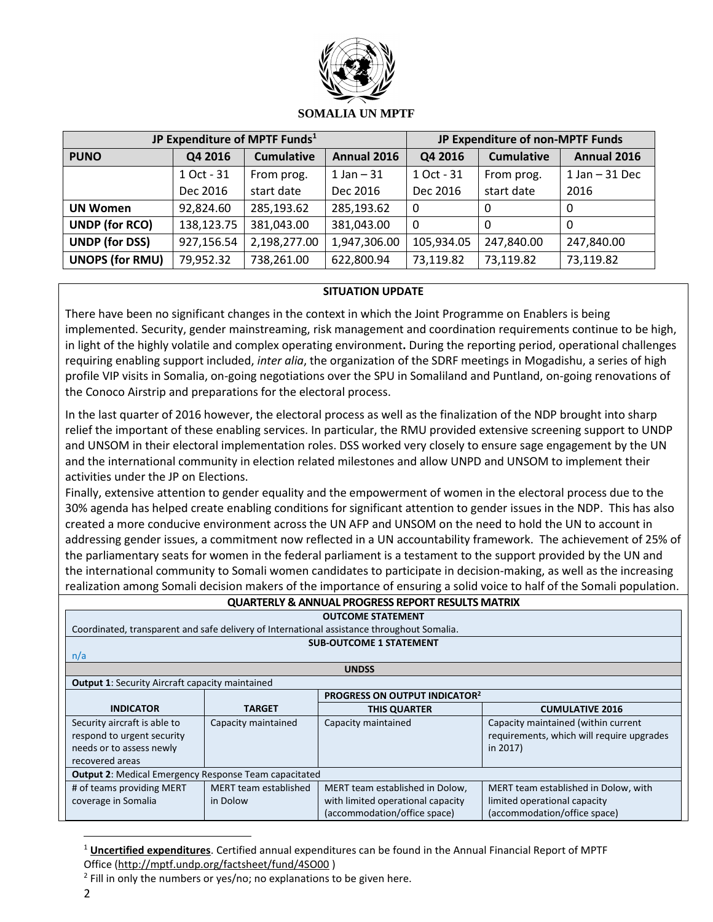

|                        |                                             | JP Expenditure of MPTF Funds <sup>1</sup> | JP Expenditure of non-MPTF Funds |              |                   |                   |
|------------------------|---------------------------------------------|-------------------------------------------|----------------------------------|--------------|-------------------|-------------------|
| <b>PUNO</b>            | <b>Cumulative</b><br>Annual 2016<br>Q4 2016 |                                           |                                  | Q4 2016      | <b>Cumulative</b> | Annual 2016       |
|                        | 1 Oct - 31                                  | 1 Jan $-31$<br>From prog.                 |                                  | 1 Oct - 31   | From prog.        | $1$ Jan $-31$ Dec |
|                        | Dec 2016                                    | start date                                | Dec 2016                         | Dec 2016     | start date        | 2016              |
| <b>UN Women</b>        | 92,824.60                                   | 285,193.62                                | 285,193.62                       | $\mathbf{0}$ | 0                 | 0                 |
| <b>UNDP (for RCO)</b>  | 138,123.75                                  | 381,043.00                                | 381,043.00                       | $\mathbf{0}$ | 0                 | 0                 |
| <b>UNDP (for DSS)</b>  | 927,156.54                                  | 2,198,277.00                              | 1,947,306.00                     | 105,934.05   | 247,840.00        | 247,840.00        |
| <b>UNOPS (for RMU)</b> | 79,952.32                                   | 738,261.00                                | 622,800.94                       | 73,119.82    | 73,119.82         | 73,119.82         |

### **SITUATION UPDATE**

There have been no significant changes in the context in which the Joint Programme on Enablers is being implemented. Security, gender mainstreaming, risk management and coordination requirements continue to be high, in light of the highly volatile and complex operating environment**.** During the reporting period, operational challenges requiring enabling support included, *inter alia*, the organization of the SDRF meetings in Mogadishu, a series of high profile VIP visits in Somalia, on-going negotiations over the SPU in Somaliland and Puntland, on-going renovations of the Conoco Airstrip and preparations for the electoral process.

In the last quarter of 2016 however, the electoral process as well as the finalization of the NDP brought into sharp relief the important of these enabling services. In particular, the RMU provided extensive screening support to UNDP and UNSOM in their electoral implementation roles. DSS worked very closely to ensure sage engagement by the UN and the international community in election related milestones and allow UNPD and UNSOM to implement their activities under the JP on Elections.

Finally, extensive attention to gender equality and the empowerment of women in the electoral process due to the 30% agenda has helped create enabling conditions for significant attention to gender issues in the NDP. This has also created a more conducive environment across the UN AFP and UNSOM on the need to hold the UN to account in addressing gender issues, a commitment now reflected in a UN accountability framework. The achievement of 25% of the parliamentary seats for women in the federal parliament is a testament to the support provided by the UN and the international community to Somali women candidates to participate in decision-making, as well as the increasing realization among Somali decision makers of the importance of ensuring a solid voice to half of the Somali population.

| <b>QUARTERLY &amp; ANNUAL PROGRESS REPORT RESULTS MATRIX</b> |                                      |                                                                                            |                                           |  |  |  |  |
|--------------------------------------------------------------|--------------------------------------|--------------------------------------------------------------------------------------------|-------------------------------------------|--|--|--|--|
|                                                              |                                      | <b>OUTCOME STATEMENT</b>                                                                   |                                           |  |  |  |  |
|                                                              |                                      | Coordinated, transparent and safe delivery of International assistance throughout Somalia. |                                           |  |  |  |  |
|                                                              |                                      | <b>SUB-OUTCOME 1 STATEMENT</b>                                                             |                                           |  |  |  |  |
| n/a                                                          |                                      |                                                                                            |                                           |  |  |  |  |
|                                                              |                                      | <b>UNDSS</b>                                                                               |                                           |  |  |  |  |
| <b>Output 1: Security Aircraft capacity maintained</b>       |                                      |                                                                                            |                                           |  |  |  |  |
|                                                              | <b>PROGRESS ON OUTPUT INDICATOR2</b> |                                                                                            |                                           |  |  |  |  |
| <b>INDICATOR</b>                                             | TARGET                               | <b>THIS QUARTER</b><br><b>CUMULATIVE 2016</b>                                              |                                           |  |  |  |  |
| Security aircraft is able to                                 | Capacity maintained                  | Capacity maintained                                                                        | Capacity maintained (within current       |  |  |  |  |
| respond to urgent security                                   |                                      |                                                                                            | requirements, which will require upgrades |  |  |  |  |
| needs or to assess newly                                     |                                      |                                                                                            | in 2017)                                  |  |  |  |  |
| recovered areas                                              |                                      |                                                                                            |                                           |  |  |  |  |
| <b>Output 2: Medical Emergency Response Team capacitated</b> |                                      |                                                                                            |                                           |  |  |  |  |
| # of teams providing MERT                                    | MERT team established                | MERT team established in Dolow,                                                            | MERT team established in Dolow, with      |  |  |  |  |
| coverage in Somalia                                          | in Dolow                             | with limited operational capacity                                                          | limited operational capacity              |  |  |  |  |
|                                                              |                                      | (accommodation/office space)                                                               | (accommodation/office space)              |  |  |  |  |

<sup>1</sup> **Uncertified expenditures**. Certified annual expenditures can be found in the Annual Financial Report of MPTF Office [\(http://mptf.undp.org/factsheet/fund/4SO00](http://mptf.undp.org/factsheet/fund/4SO00) )

 $\overline{\phantom{a}}$ 

<sup>&</sup>lt;sup>2</sup> Fill in only the numbers or yes/no; no explanations to be given here.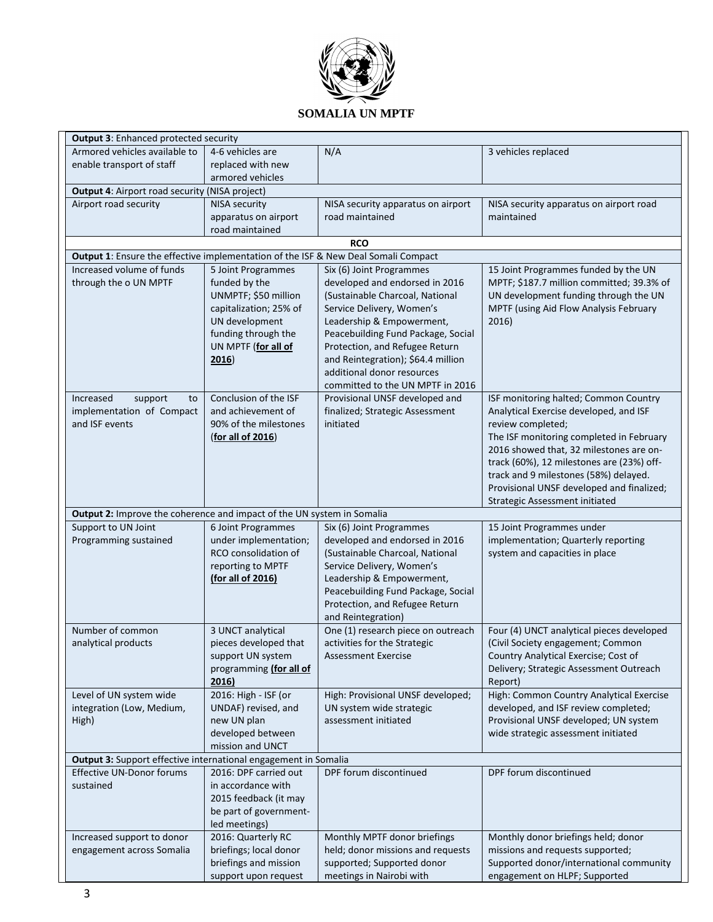

| <b>Output 3: Enhanced protected security</b>                                                        |                                                 |                                    |                                           |  |  |  |  |
|-----------------------------------------------------------------------------------------------------|-------------------------------------------------|------------------------------------|-------------------------------------------|--|--|--|--|
| Armored vehicles available to                                                                       | 4-6 vehicles are                                | N/A                                | 3 vehicles replaced                       |  |  |  |  |
| enable transport of staff                                                                           | replaced with new                               |                                    |                                           |  |  |  |  |
|                                                                                                     | armored vehicles                                |                                    |                                           |  |  |  |  |
| Output 4: Airport road security (NISA project)                                                      |                                                 |                                    |                                           |  |  |  |  |
| Airport road security                                                                               | <b>NISA security</b>                            | NISA security apparatus on airport | NISA security apparatus on airport road   |  |  |  |  |
|                                                                                                     | apparatus on airport                            | road maintained                    | maintained                                |  |  |  |  |
|                                                                                                     | road maintained                                 |                                    |                                           |  |  |  |  |
|                                                                                                     |                                                 | <b>RCO</b>                         |                                           |  |  |  |  |
| Output 1: Ensure the effective implementation of the ISF & New Deal Somali Compact                  |                                                 |                                    |                                           |  |  |  |  |
| Increased volume of funds                                                                           | 5 Joint Programmes                              | Six (6) Joint Programmes           | 15 Joint Programmes funded by the UN      |  |  |  |  |
| through the o UN MPTF                                                                               | funded by the                                   | developed and endorsed in 2016     | MPTF; \$187.7 million committed; 39.3% of |  |  |  |  |
|                                                                                                     | UNMPTF; \$50 million                            | (Sustainable Charcoal, National    | UN development funding through the UN     |  |  |  |  |
|                                                                                                     | capitalization; 25% of                          | Service Delivery, Women's          | MPTF (using Aid Flow Analysis February    |  |  |  |  |
|                                                                                                     | UN development                                  | Leadership & Empowerment,          | 2016)                                     |  |  |  |  |
|                                                                                                     | funding through the                             | Peacebuilding Fund Package, Social |                                           |  |  |  |  |
|                                                                                                     | UN MPTF (for all of                             | Protection, and Refugee Return     |                                           |  |  |  |  |
|                                                                                                     | 2016)                                           | and Reintegration); \$64.4 million |                                           |  |  |  |  |
|                                                                                                     |                                                 | additional donor resources         |                                           |  |  |  |  |
|                                                                                                     |                                                 | committed to the UN MPTF in 2016   |                                           |  |  |  |  |
| Increased<br>support<br>to                                                                          | Conclusion of the ISF                           | Provisional UNSF developed and     | ISF monitoring halted; Common Country     |  |  |  |  |
| implementation of Compact                                                                           | and achievement of                              | finalized; Strategic Assessment    | Analytical Exercise developed, and ISF    |  |  |  |  |
| and ISF events                                                                                      | 90% of the milestones                           | initiated                          | review completed;                         |  |  |  |  |
|                                                                                                     | (for all of 2016)                               |                                    | The ISF monitoring completed in February  |  |  |  |  |
|                                                                                                     |                                                 |                                    | 2016 showed that, 32 milestones are on-   |  |  |  |  |
|                                                                                                     |                                                 |                                    | track (60%), 12 milestones are (23%) off- |  |  |  |  |
|                                                                                                     |                                                 |                                    | track and 9 milestones (58%) delayed.     |  |  |  |  |
|                                                                                                     |                                                 |                                    | Provisional UNSF developed and finalized; |  |  |  |  |
|                                                                                                     |                                                 |                                    | Strategic Assessment initiated            |  |  |  |  |
| Output 2: Improve the coherence and impact of the UN system in Somalia                              |                                                 |                                    |                                           |  |  |  |  |
| Support to UN Joint                                                                                 | 6 Joint Programmes                              | Six (6) Joint Programmes           | 15 Joint Programmes under                 |  |  |  |  |
| Programming sustained                                                                               | under implementation;                           | developed and endorsed in 2016     | implementation; Quarterly reporting       |  |  |  |  |
|                                                                                                     | RCO consolidation of                            | (Sustainable Charcoal, National    | system and capacities in place            |  |  |  |  |
|                                                                                                     | reporting to MPTF                               | Service Delivery, Women's          |                                           |  |  |  |  |
|                                                                                                     | (for all of 2016)                               | Leadership & Empowerment,          |                                           |  |  |  |  |
|                                                                                                     |                                                 | Peacebuilding Fund Package, Social |                                           |  |  |  |  |
|                                                                                                     |                                                 | Protection, and Refugee Return     |                                           |  |  |  |  |
|                                                                                                     |                                                 | and Reintegration)                 |                                           |  |  |  |  |
| Number of common                                                                                    | 3 UNCT analytical                               | One (1) research piece on outreach | Four (4) UNCT analytical pieces developed |  |  |  |  |
| analytical products                                                                                 | pieces developed that                           | activities for the Strategic       | (Civil Society engagement; Common         |  |  |  |  |
|                                                                                                     | support UN system                               | Assessment Exercise                | Country Analytical Exercise; Cost of      |  |  |  |  |
|                                                                                                     | programming (for all of                         |                                    | Delivery; Strategic Assessment Outreach   |  |  |  |  |
|                                                                                                     | 2016)                                           |                                    | Report)                                   |  |  |  |  |
| Level of UN system wide                                                                             | 2016: High - ISF (or                            | High: Provisional UNSF developed;  | High: Common Country Analytical Exercise  |  |  |  |  |
| integration (Low, Medium,                                                                           | UNDAF) revised, and                             | UN system wide strategic           | developed, and ISF review completed;      |  |  |  |  |
| High)                                                                                               | new UN plan                                     | assessment initiated               | Provisional UNSF developed; UN system     |  |  |  |  |
|                                                                                                     | developed between                               |                                    | wide strategic assessment initiated       |  |  |  |  |
|                                                                                                     | mission and UNCT                                |                                    |                                           |  |  |  |  |
| Output 3: Support effective international engagement in Somalia<br><b>Effective UN-Donor forums</b> | 2016: DPF carried out                           | DPF forum discontinued             | DPF forum discontinued                    |  |  |  |  |
| sustained                                                                                           | in accordance with                              |                                    |                                           |  |  |  |  |
|                                                                                                     |                                                 |                                    |                                           |  |  |  |  |
|                                                                                                     | 2015 feedback (it may<br>be part of government- |                                    |                                           |  |  |  |  |
|                                                                                                     |                                                 |                                    |                                           |  |  |  |  |
|                                                                                                     | led meetings)                                   |                                    |                                           |  |  |  |  |
| Increased support to donor                                                                          | 2016: Quarterly RC<br>briefings; local donor    | Monthly MPTF donor briefings       | Monthly donor briefings held; donor       |  |  |  |  |
| engagement across Somalia                                                                           |                                                 | held; donor missions and requests  | missions and requests supported;          |  |  |  |  |
|                                                                                                     | briefings and mission                           | supported; Supported donor         | Supported donor/international community   |  |  |  |  |
|                                                                                                     | support upon request                            | meetings in Nairobi with           | engagement on HLPF; Supported             |  |  |  |  |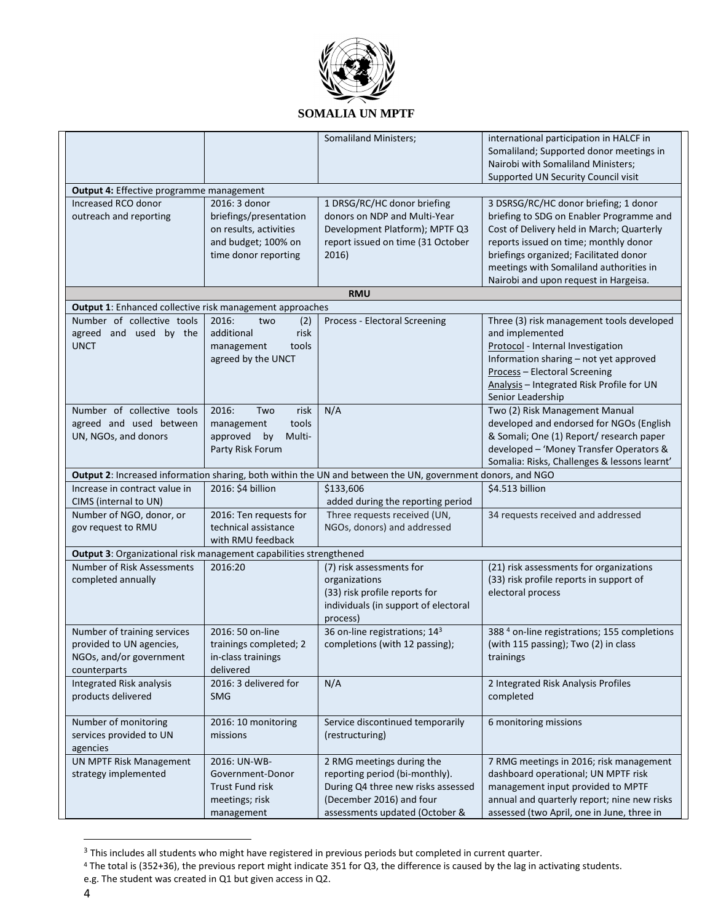

|                                                                                                  |                                             | <b>Somaliland Ministers;</b>                                                                               | international participation in HALCF in                                         |  |  |
|--------------------------------------------------------------------------------------------------|---------------------------------------------|------------------------------------------------------------------------------------------------------------|---------------------------------------------------------------------------------|--|--|
|                                                                                                  |                                             |                                                                                                            | Somaliland; Supported donor meetings in                                         |  |  |
|                                                                                                  |                                             |                                                                                                            | Nairobi with Somaliland Ministers;                                              |  |  |
|                                                                                                  |                                             |                                                                                                            | Supported UN Security Council visit                                             |  |  |
| Output 4: Effective programme management                                                         |                                             |                                                                                                            |                                                                                 |  |  |
| Increased RCO donor                                                                              | 2016: 3 donor                               | 1 DRSG/RC/HC donor briefing                                                                                | 3 DSRSG/RC/HC donor briefing; 1 donor                                           |  |  |
| outreach and reporting                                                                           | briefings/presentation                      | donors on NDP and Multi-Year                                                                               | briefing to SDG on Enabler Programme and                                        |  |  |
|                                                                                                  | on results, activities                      | Development Platform); MPTF Q3                                                                             | Cost of Delivery held in March; Quarterly                                       |  |  |
|                                                                                                  | and budget; 100% on<br>time donor reporting | report issued on time (31 October<br>2016)                                                                 | reports issued on time; monthly donor<br>briefings organized; Facilitated donor |  |  |
|                                                                                                  |                                             |                                                                                                            | meetings with Somaliland authorities in                                         |  |  |
|                                                                                                  |                                             |                                                                                                            | Nairobi and upon request in Hargeisa.                                           |  |  |
|                                                                                                  |                                             | <b>RMU</b>                                                                                                 |                                                                                 |  |  |
| Output 1: Enhanced collective risk management approaches                                         |                                             |                                                                                                            |                                                                                 |  |  |
| Number of collective tools                                                                       | 2016:<br>two<br>(2)                         | Process - Electoral Screening                                                                              | Three (3) risk management tools developed                                       |  |  |
| agreed and used by the                                                                           | additional<br>risk                          |                                                                                                            | and implemented                                                                 |  |  |
| <b>UNCT</b>                                                                                      | management<br>tools                         |                                                                                                            | Protocol - Internal Investigation                                               |  |  |
|                                                                                                  | agreed by the UNCT                          |                                                                                                            | Information sharing - not yet approved                                          |  |  |
|                                                                                                  |                                             |                                                                                                            | Process - Electoral Screening                                                   |  |  |
|                                                                                                  |                                             |                                                                                                            | Analysis - Integrated Risk Profile for UN<br>Senior Leadership                  |  |  |
| Number of collective tools                                                                       | 2016:<br>Two<br>risk                        | N/A                                                                                                        | Two (2) Risk Management Manual                                                  |  |  |
| agreed and used between                                                                          | tools<br>management                         |                                                                                                            | developed and endorsed for NGOs (English                                        |  |  |
| UN, NGOs, and donors                                                                             | approved<br>by<br>Multi-                    |                                                                                                            | & Somali; One (1) Report/ research paper                                        |  |  |
|                                                                                                  | Party Risk Forum                            |                                                                                                            | developed - 'Money Transfer Operators &                                         |  |  |
|                                                                                                  |                                             |                                                                                                            | Somalia: Risks, Challenges & lessons learnt'                                    |  |  |
|                                                                                                  |                                             | Output 2: Increased information sharing, both within the UN and between the UN, government donors, and NGO |                                                                                 |  |  |
| Increase in contract value in<br>CIMS (internal to UN)                                           | 2016: \$4 billion                           | \$133,606<br>added during the reporting period                                                             | \$4.513 billion                                                                 |  |  |
| Number of NGO, donor, or                                                                         | 2016: Ten requests for                      | Three requests received (UN,                                                                               | 34 requests received and addressed                                              |  |  |
| gov request to RMU                                                                               | technical assistance                        | NGOs, donors) and addressed                                                                                |                                                                                 |  |  |
|                                                                                                  | with RMU feedback                           |                                                                                                            |                                                                                 |  |  |
| Output 3: Organizational risk management capabilities strengthened<br>Number of Risk Assessments | 2016:20                                     | (7) risk assessments for                                                                                   | (21) risk assessments for organizations                                         |  |  |
| completed annually                                                                               |                                             | organizations                                                                                              | (33) risk profile reports in support of                                         |  |  |
|                                                                                                  |                                             | (33) risk profile reports for                                                                              | electoral process                                                               |  |  |
|                                                                                                  |                                             | individuals (in support of electoral                                                                       |                                                                                 |  |  |
|                                                                                                  |                                             | process)                                                                                                   |                                                                                 |  |  |
| Number of training services                                                                      | 2016: 50 on-line                            | 36 on-line registrations; 143                                                                              | 388 <sup>4</sup> on-line registrations; 155 completions                         |  |  |
| provided to UN agencies,                                                                         | trainings completed; 2                      | completions (with 12 passing);                                                                             | (with 115 passing); Two (2) in class                                            |  |  |
| NGOs, and/or government                                                                          | in-class trainings                          |                                                                                                            | trainings                                                                       |  |  |
| counterparts<br><b>Integrated Risk analysis</b>                                                  | delivered<br>2016: 3 delivered for          | N/A                                                                                                        |                                                                                 |  |  |
| products delivered                                                                               | <b>SMG</b>                                  |                                                                                                            | 2 Integrated Risk Analysis Profiles<br>completed                                |  |  |
|                                                                                                  |                                             |                                                                                                            |                                                                                 |  |  |
| Number of monitoring                                                                             | 2016: 10 monitoring                         | Service discontinued temporarily                                                                           | 6 monitoring missions                                                           |  |  |
| services provided to UN                                                                          | missions                                    | (restructuring)                                                                                            |                                                                                 |  |  |
| agencies                                                                                         |                                             |                                                                                                            |                                                                                 |  |  |
| UN MPTF Risk Management                                                                          | 2016: UN-WB-                                | 2 RMG meetings during the                                                                                  | 7 RMG meetings in 2016; risk management                                         |  |  |
| strategy implemented                                                                             | Government-Donor                            | reporting period (bi-monthly).                                                                             | dashboard operational; UN MPTF risk                                             |  |  |
|                                                                                                  | <b>Trust Fund risk</b>                      | During Q4 three new risks assessed                                                                         | management input provided to MPTF                                               |  |  |
|                                                                                                  | meetings; risk                              | (December 2016) and four                                                                                   | annual and quarterly report; nine new risks                                     |  |  |
|                                                                                                  | management                                  | assessments updated (October &                                                                             | assessed (two April, one in June, three in                                      |  |  |

 $3$  This includes all students who might have registered in previous periods but completed in current quarter.

 $\overline{a}$ 

<sup>4</sup> The total is (352+36), the previous report might indicate 351 for Q3, the difference is caused by the lag in activating students.

e.g. The student was created in Q1 but given access in Q2.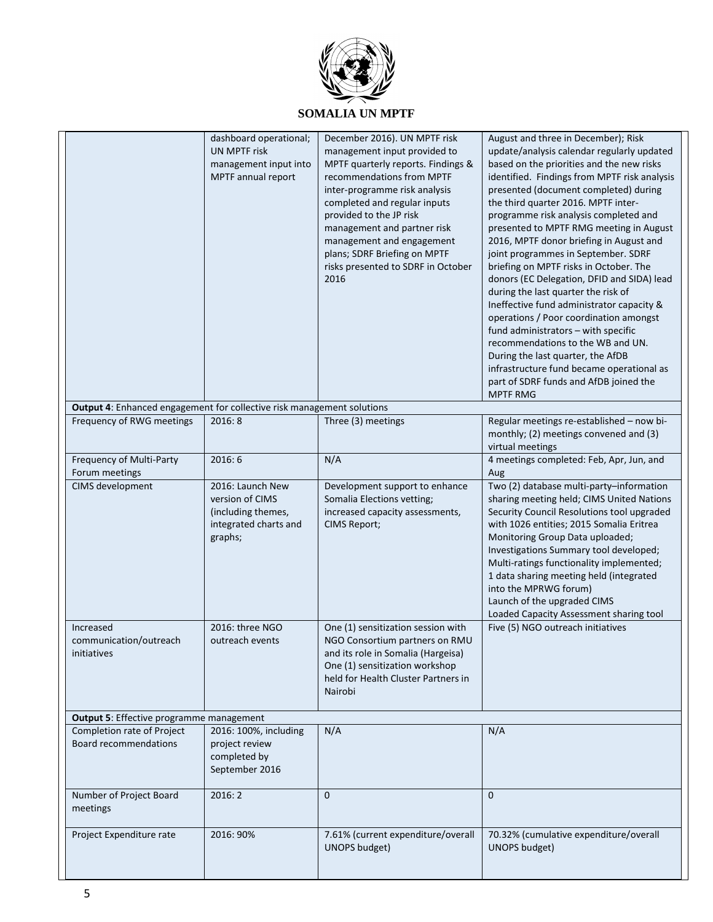

# **SOMALIA UN MPTF**

|                                                                        | dashboard operational;<br><b>UN MPTF risk</b><br>management input into<br>MPTF annual report  | December 2016). UN MPTF risk<br>management input provided to<br>MPTF quarterly reports. Findings &<br>recommendations from MPTF<br>inter-programme risk analysis<br>completed and regular inputs<br>provided to the JP risk<br>management and partner risk<br>management and engagement<br>plans; SDRF Briefing on MPTF<br>risks presented to SDRF in October<br>2016 | August and three in December); Risk<br>update/analysis calendar regularly updated<br>based on the priorities and the new risks<br>identified. Findings from MPTF risk analysis<br>presented (document completed) during<br>the third quarter 2016. MPTF inter-<br>programme risk analysis completed and<br>presented to MPTF RMG meeting in August<br>2016, MPTF donor briefing in August and<br>joint programmes in September. SDRF<br>briefing on MPTF risks in October. The<br>donors (EC Delegation, DFID and SIDA) lead<br>during the last quarter the risk of<br>Ineffective fund administrator capacity &<br>operations / Poor coordination amongst<br>fund administrators - with specific<br>recommendations to the WB and UN.<br>During the last quarter, the AfDB<br>infrastructure fund became operational as<br>part of SDRF funds and AfDB joined the<br><b>MPTF RMG</b> |
|------------------------------------------------------------------------|-----------------------------------------------------------------------------------------------|-----------------------------------------------------------------------------------------------------------------------------------------------------------------------------------------------------------------------------------------------------------------------------------------------------------------------------------------------------------------------|---------------------------------------------------------------------------------------------------------------------------------------------------------------------------------------------------------------------------------------------------------------------------------------------------------------------------------------------------------------------------------------------------------------------------------------------------------------------------------------------------------------------------------------------------------------------------------------------------------------------------------------------------------------------------------------------------------------------------------------------------------------------------------------------------------------------------------------------------------------------------------------|
| Output 4: Enhanced engagement for collective risk management solutions |                                                                                               |                                                                                                                                                                                                                                                                                                                                                                       |                                                                                                                                                                                                                                                                                                                                                                                                                                                                                                                                                                                                                                                                                                                                                                                                                                                                                       |
| Frequency of RWG meetings                                              | 2016:8                                                                                        | Three (3) meetings                                                                                                                                                                                                                                                                                                                                                    | Regular meetings re-established - now bi-<br>monthly; (2) meetings convened and (3)<br>virtual meetings                                                                                                                                                                                                                                                                                                                                                                                                                                                                                                                                                                                                                                                                                                                                                                               |
| Frequency of Multi-Party<br>Forum meetings                             | 2016:6                                                                                        | N/A                                                                                                                                                                                                                                                                                                                                                                   | 4 meetings completed: Feb, Apr, Jun, and<br>Aug                                                                                                                                                                                                                                                                                                                                                                                                                                                                                                                                                                                                                                                                                                                                                                                                                                       |
| CIMS development                                                       | 2016: Launch New<br>version of CIMS<br>(including themes,<br>integrated charts and<br>graphs; | Development support to enhance<br>Somalia Elections vetting;<br>increased capacity assessments,<br>CIMS Report;                                                                                                                                                                                                                                                       | Two (2) database multi-party-information<br>sharing meeting held; CIMS United Nations<br>Security Council Resolutions tool upgraded<br>with 1026 entities; 2015 Somalia Eritrea<br>Monitoring Group Data uploaded;<br>Investigations Summary tool developed;<br>Multi-ratings functionality implemented;<br>1 data sharing meeting held (integrated<br>into the MPRWG forum)<br>Launch of the upgraded CIMS<br>Loaded Capacity Assessment sharing tool                                                                                                                                                                                                                                                                                                                                                                                                                                |
| Increased<br>communication/outreach<br>initiatives                     | 2016: three NGO<br>outreach events                                                            | One (1) sensitization session with<br>NGO Consortium partners on RMU<br>and its role in Somalia (Hargeisa)<br>One (1) sensitization workshop<br>held for Health Cluster Partners in<br>Nairobi                                                                                                                                                                        | Five (5) NGO outreach initiatives                                                                                                                                                                                                                                                                                                                                                                                                                                                                                                                                                                                                                                                                                                                                                                                                                                                     |
| Output 5: Effective programme management                               |                                                                                               |                                                                                                                                                                                                                                                                                                                                                                       |                                                                                                                                                                                                                                                                                                                                                                                                                                                                                                                                                                                                                                                                                                                                                                                                                                                                                       |
| Completion rate of Project<br><b>Board recommendations</b>             | 2016: 100%, including<br>project review<br>completed by<br>September 2016                     | N/A                                                                                                                                                                                                                                                                                                                                                                   | N/A                                                                                                                                                                                                                                                                                                                                                                                                                                                                                                                                                                                                                                                                                                                                                                                                                                                                                   |
| Number of Project Board<br>meetings                                    | 2016:2                                                                                        | $\mathbf{0}$                                                                                                                                                                                                                                                                                                                                                          | $\mathbf{0}$                                                                                                                                                                                                                                                                                                                                                                                                                                                                                                                                                                                                                                                                                                                                                                                                                                                                          |
| Project Expenditure rate                                               | 2016: 90%                                                                                     | 7.61% (current expenditure/overall<br><b>UNOPS budget)</b>                                                                                                                                                                                                                                                                                                            | 70.32% (cumulative expenditure/overall<br><b>UNOPS</b> budget)                                                                                                                                                                                                                                                                                                                                                                                                                                                                                                                                                                                                                                                                                                                                                                                                                        |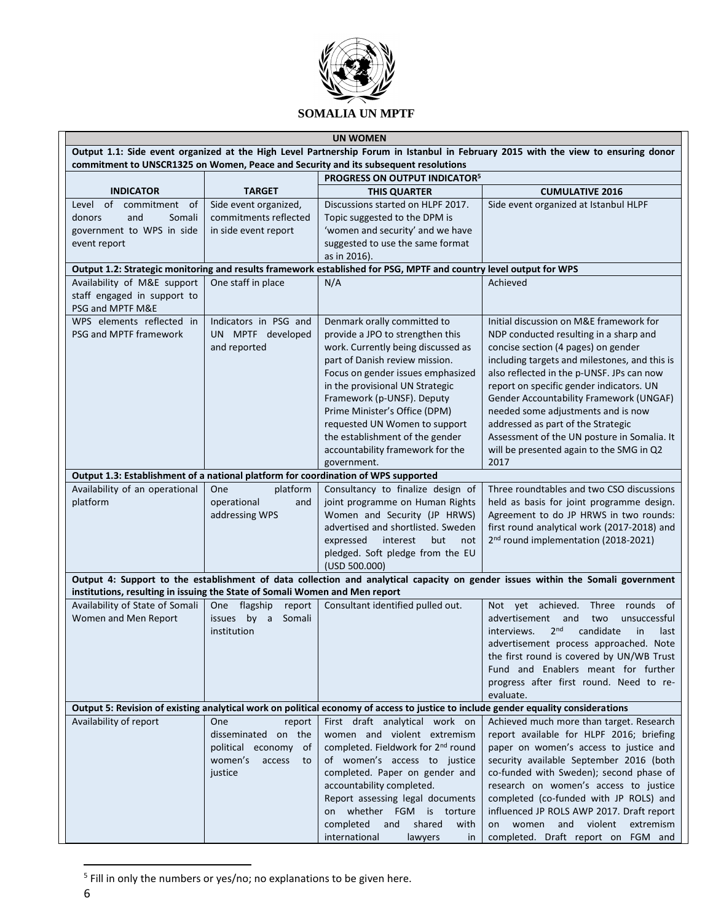

|                                                                                                                      | <b>UN WOMEN</b>                                                                                                                                                                                                          |                                                                                                                                    |                                                                                                                                 |  |  |  |  |
|----------------------------------------------------------------------------------------------------------------------|--------------------------------------------------------------------------------------------------------------------------------------------------------------------------------------------------------------------------|------------------------------------------------------------------------------------------------------------------------------------|---------------------------------------------------------------------------------------------------------------------------------|--|--|--|--|
|                                                                                                                      | Output 1.1: Side event organized at the High Level Partnership Forum in Istanbul in February 2015 with the view to ensuring donor<br>commitment to UNSCR1325 on Women, Peace and Security and its subsequent resolutions |                                                                                                                                    |                                                                                                                                 |  |  |  |  |
|                                                                                                                      |                                                                                                                                                                                                                          | PROGRESS ON OUTPUT INDICATOR <sup>5</sup>                                                                                          |                                                                                                                                 |  |  |  |  |
| <b>INDICATOR</b>                                                                                                     | <b>TARGET</b>                                                                                                                                                                                                            | <b>THIS QUARTER</b>                                                                                                                | <b>CUMULATIVE 2016</b>                                                                                                          |  |  |  |  |
| of commitment<br>Level<br>0f                                                                                         | Side event organized,                                                                                                                                                                                                    | Discussions started on HLPF 2017.                                                                                                  | Side event organized at Istanbul HLPF                                                                                           |  |  |  |  |
| and<br>Somali<br>donors                                                                                              | commitments reflected                                                                                                                                                                                                    | Topic suggested to the DPM is                                                                                                      |                                                                                                                                 |  |  |  |  |
| government to WPS in side                                                                                            | in side event report                                                                                                                                                                                                     | 'women and security' and we have                                                                                                   |                                                                                                                                 |  |  |  |  |
| event report                                                                                                         |                                                                                                                                                                                                                          | suggested to use the same format                                                                                                   |                                                                                                                                 |  |  |  |  |
|                                                                                                                      |                                                                                                                                                                                                                          | as in 2016).                                                                                                                       |                                                                                                                                 |  |  |  |  |
|                                                                                                                      |                                                                                                                                                                                                                          | Output 1.2: Strategic monitoring and results framework established for PSG, MPTF and country level output for WPS                  |                                                                                                                                 |  |  |  |  |
| Availability of M&E support                                                                                          | One staff in place                                                                                                                                                                                                       | N/A                                                                                                                                | Achieved                                                                                                                        |  |  |  |  |
| staff engaged in support to<br>PSG and MPTF M&E                                                                      |                                                                                                                                                                                                                          |                                                                                                                                    |                                                                                                                                 |  |  |  |  |
| WPS elements reflected in                                                                                            | Indicators in PSG and                                                                                                                                                                                                    | Denmark orally committed to                                                                                                        | Initial discussion on M&E framework for                                                                                         |  |  |  |  |
| PSG and MPTF framework                                                                                               | UN MPTF developed                                                                                                                                                                                                        | provide a JPO to strengthen this                                                                                                   | NDP conducted resulting in a sharp and                                                                                          |  |  |  |  |
|                                                                                                                      | and reported                                                                                                                                                                                                             | work. Currently being discussed as                                                                                                 | concise section (4 pages) on gender                                                                                             |  |  |  |  |
|                                                                                                                      |                                                                                                                                                                                                                          | part of Danish review mission.                                                                                                     | including targets and milestones, and this is                                                                                   |  |  |  |  |
|                                                                                                                      |                                                                                                                                                                                                                          | Focus on gender issues emphasized                                                                                                  | also reflected in the p-UNSF. JPs can now                                                                                       |  |  |  |  |
|                                                                                                                      |                                                                                                                                                                                                                          | in the provisional UN Strategic                                                                                                    | report on specific gender indicators. UN                                                                                        |  |  |  |  |
|                                                                                                                      |                                                                                                                                                                                                                          | Framework (p-UNSF). Deputy                                                                                                         | Gender Accountability Framework (UNGAF)                                                                                         |  |  |  |  |
|                                                                                                                      |                                                                                                                                                                                                                          | Prime Minister's Office (DPM)                                                                                                      | needed some adjustments and is now                                                                                              |  |  |  |  |
|                                                                                                                      |                                                                                                                                                                                                                          | requested UN Women to support                                                                                                      | addressed as part of the Strategic                                                                                              |  |  |  |  |
|                                                                                                                      |                                                                                                                                                                                                                          | the establishment of the gender                                                                                                    | Assessment of the UN posture in Somalia. It                                                                                     |  |  |  |  |
|                                                                                                                      |                                                                                                                                                                                                                          | accountability framework for the                                                                                                   | will be presented again to the SMG in Q2<br>2017                                                                                |  |  |  |  |
|                                                                                                                      |                                                                                                                                                                                                                          | government.                                                                                                                        |                                                                                                                                 |  |  |  |  |
| Output 1.3: Establishment of a national platform for coordination of WPS supported<br>Availability of an operational | platform<br>One                                                                                                                                                                                                          | Consultancy to finalize design of                                                                                                  | Three roundtables and two CSO discussions                                                                                       |  |  |  |  |
| platform                                                                                                             | operational<br>and                                                                                                                                                                                                       | joint programme on Human Rights                                                                                                    | held as basis for joint programme design.                                                                                       |  |  |  |  |
|                                                                                                                      | addressing WPS                                                                                                                                                                                                           | Women and Security (JP HRWS)                                                                                                       | Agreement to do JP HRWS in two rounds:                                                                                          |  |  |  |  |
|                                                                                                                      |                                                                                                                                                                                                                          | advertised and shortlisted. Sweden                                                                                                 | first round analytical work (2017-2018) and                                                                                     |  |  |  |  |
|                                                                                                                      |                                                                                                                                                                                                                          | expressed<br>interest<br>but<br>not                                                                                                | 2 <sup>nd</sup> round implementation (2018-2021)                                                                                |  |  |  |  |
|                                                                                                                      |                                                                                                                                                                                                                          | pledged. Soft pledge from the EU                                                                                                   |                                                                                                                                 |  |  |  |  |
|                                                                                                                      |                                                                                                                                                                                                                          | (USD 500.000)                                                                                                                      |                                                                                                                                 |  |  |  |  |
| institutions, resulting in issuing the State of Somali Women and Men report                                          |                                                                                                                                                                                                                          |                                                                                                                                    | Output 4: Support to the establishment of data collection and analytical capacity on gender issues within the Somali government |  |  |  |  |
| Availability of State of Somali                                                                                      | One flagship<br>report                                                                                                                                                                                                   | Consultant identified pulled out.                                                                                                  | Not yet achieved.<br>Three rounds<br>of                                                                                         |  |  |  |  |
| Women and Men Report                                                                                                 | Somali<br>issues<br>by a                                                                                                                                                                                                 |                                                                                                                                    | advertisement<br>and<br>two<br>unsuccessful                                                                                     |  |  |  |  |
|                                                                                                                      | institution                                                                                                                                                                                                              |                                                                                                                                    | 2 <sub>nd</sub><br>candidate<br>in<br>interviews.<br>last                                                                       |  |  |  |  |
|                                                                                                                      |                                                                                                                                                                                                                          |                                                                                                                                    | advertisement process approached. Note                                                                                          |  |  |  |  |
|                                                                                                                      |                                                                                                                                                                                                                          |                                                                                                                                    | the first round is covered by UN/WB Trust                                                                                       |  |  |  |  |
|                                                                                                                      |                                                                                                                                                                                                                          |                                                                                                                                    | Fund and Enablers meant for further                                                                                             |  |  |  |  |
|                                                                                                                      |                                                                                                                                                                                                                          |                                                                                                                                    | progress after first round. Need to re-                                                                                         |  |  |  |  |
|                                                                                                                      |                                                                                                                                                                                                                          |                                                                                                                                    | evaluate.                                                                                                                       |  |  |  |  |
|                                                                                                                      |                                                                                                                                                                                                                          | Output 5: Revision of existing analytical work on political economy of access to justice to include gender equality considerations |                                                                                                                                 |  |  |  |  |
| Availability of report                                                                                               | One<br>report                                                                                                                                                                                                            | First draft analytical work on                                                                                                     | Achieved much more than target. Research                                                                                        |  |  |  |  |
|                                                                                                                      | disseminated on the                                                                                                                                                                                                      | women and violent extremism                                                                                                        | report available for HLPF 2016; briefing                                                                                        |  |  |  |  |
|                                                                                                                      | political economy of                                                                                                                                                                                                     | completed. Fieldwork for 2 <sup>nd</sup> round                                                                                     | paper on women's access to justice and                                                                                          |  |  |  |  |
|                                                                                                                      | women's<br>access<br>to                                                                                                                                                                                                  | of women's access to justice                                                                                                       | security available September 2016 (both                                                                                         |  |  |  |  |
|                                                                                                                      | justice                                                                                                                                                                                                                  | completed. Paper on gender and                                                                                                     | co-funded with Sweden); second phase of                                                                                         |  |  |  |  |
|                                                                                                                      |                                                                                                                                                                                                                          | accountability completed.                                                                                                          | research on women's access to justice                                                                                           |  |  |  |  |
|                                                                                                                      |                                                                                                                                                                                                                          | Report assessing legal documents<br>on whether FGM is torture                                                                      | completed (co-funded with JP ROLS) and<br>influenced JP ROLS AWP 2017. Draft report                                             |  |  |  |  |
|                                                                                                                      |                                                                                                                                                                                                                          | completed<br>and<br>shared<br>with                                                                                                 | women and violent<br>extremism<br>on                                                                                            |  |  |  |  |
|                                                                                                                      |                                                                                                                                                                                                                          | international<br>lawyers<br>in                                                                                                     | completed. Draft report on FGM and                                                                                              |  |  |  |  |

<sup>&</sup>lt;sup>5</sup> Fill in only the numbers or yes/no; no explanations to be given here.

 $\overline{\phantom{a}}$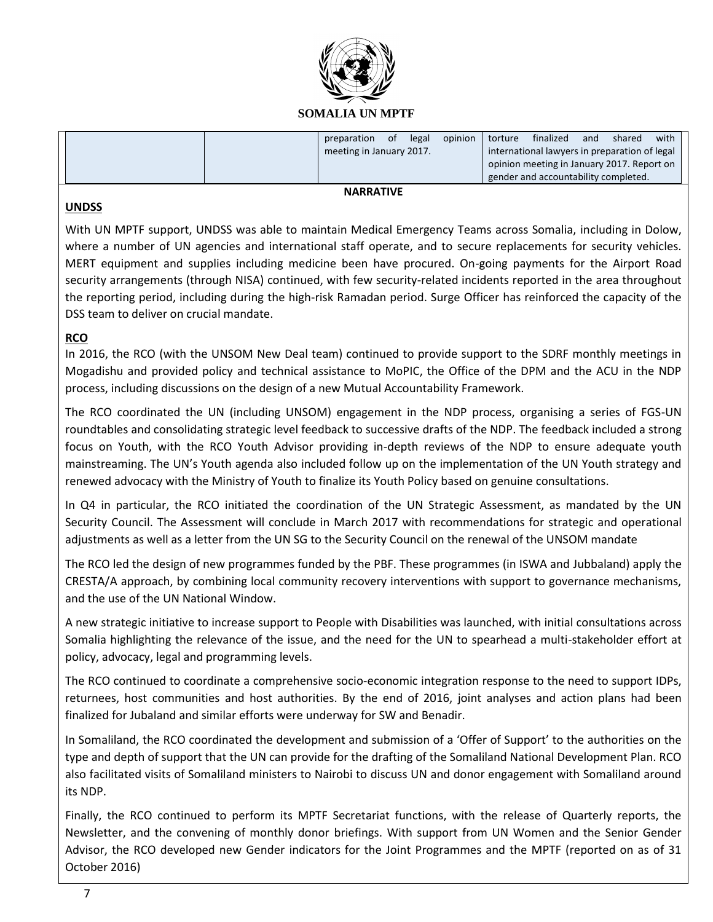

### **SOMALIA UN MPTF**

|  | preparation              | 0f | legal | opinion | torture | finalized                                     | and | shared | with |
|--|--------------------------|----|-------|---------|---------|-----------------------------------------------|-----|--------|------|
|  | meeting in January 2017. |    |       |         |         | international lawyers in preparation of legal |     |        |      |
|  |                          |    |       |         |         | opinion meeting in January 2017. Report on    |     |        |      |
|  |                          |    |       |         |         | gender and accountability completed.          |     |        |      |

# **NARRATIVE**

#### **UNDSS**

With UN MPTF support, UNDSS was able to maintain Medical Emergency Teams across Somalia, including in Dolow, where a number of UN agencies and international staff operate, and to secure replacements for security vehicles. MERT equipment and supplies including medicine been have procured. On-going payments for the Airport Road security arrangements (through NISA) continued, with few security-related incidents reported in the area throughout the reporting period, including during the high-risk Ramadan period. Surge Officer has reinforced the capacity of the DSS team to deliver on crucial mandate.

# **RCO**

In 2016, the RCO (with the UNSOM New Deal team) continued to provide support to the SDRF monthly meetings in Mogadishu and provided policy and technical assistance to MoPIC, the Office of the DPM and the ACU in the NDP process, including discussions on the design of a new Mutual Accountability Framework.

The RCO coordinated the UN (including UNSOM) engagement in the NDP process, organising a series of FGS-UN roundtables and consolidating strategic level feedback to successive drafts of the NDP. The feedback included a strong focus on Youth, with the RCO Youth Advisor providing in-depth reviews of the NDP to ensure adequate youth mainstreaming. The UN's Youth agenda also included follow up on the implementation of the UN Youth strategy and renewed advocacy with the Ministry of Youth to finalize its Youth Policy based on genuine consultations.

In Q4 in particular, the RCO initiated the coordination of the UN Strategic Assessment, as mandated by the UN Security Council. The Assessment will conclude in March 2017 with recommendations for strategic and operational adjustments as well as a letter from the UN SG to the Security Council on the renewal of the UNSOM mandate

The RCO led the design of new programmes funded by the PBF. These programmes (in ISWA and Jubbaland) apply the CRESTA/A approach, by combining local community recovery interventions with support to governance mechanisms, and the use of the UN National Window.

A new strategic initiative to increase support to People with Disabilities was launched, with initial consultations across Somalia highlighting the relevance of the issue, and the need for the UN to spearhead a multi-stakeholder effort at policy, advocacy, legal and programming levels.

The RCO continued to coordinate a comprehensive socio-economic integration response to the need to support IDPs, returnees, host communities and host authorities. By the end of 2016, joint analyses and action plans had been finalized for Jubaland and similar efforts were underway for SW and Benadir.

In Somaliland, the RCO coordinated the development and submission of a 'Offer of Support' to the authorities on the type and depth of support that the UN can provide for the drafting of the Somaliland National Development Plan. RCO also facilitated visits of Somaliland ministers to Nairobi to discuss UN and donor engagement with Somaliland around its NDP.

Finally, the RCO continued to perform its MPTF Secretariat functions, with the release of Quarterly reports, the Newsletter, and the convening of monthly donor briefings. With support from UN Women and the Senior Gender Advisor, the RCO developed new Gender indicators for the Joint Programmes and the MPTF (reported on as of 31 October 2016)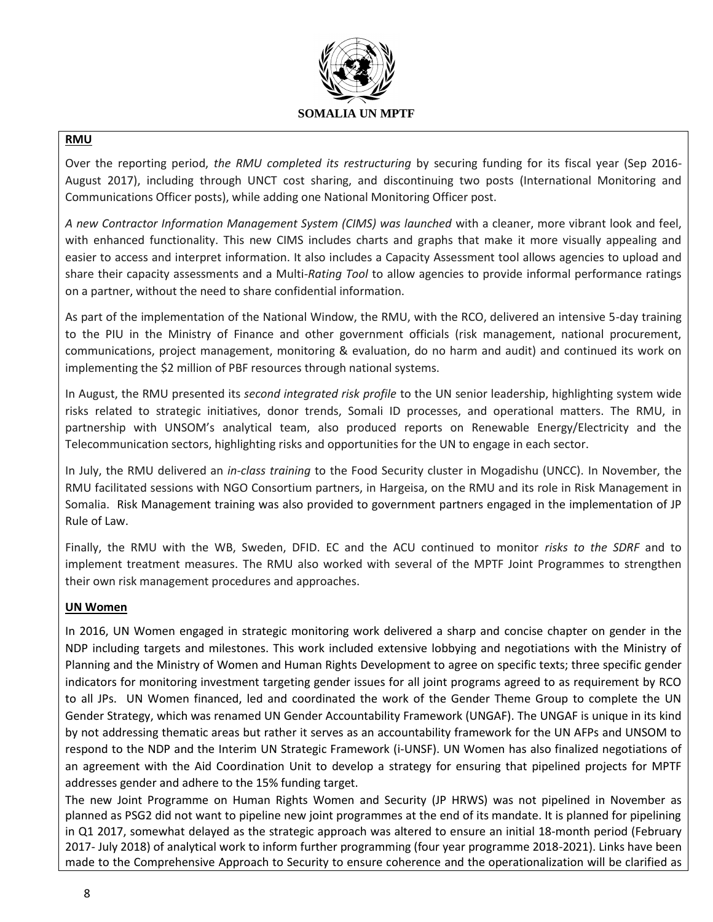

# **RMU**

Over the reporting period, *the RMU completed its restructuring* by securing funding for its fiscal year (Sep 2016- August 2017), including through UNCT cost sharing, and discontinuing two posts (International Monitoring and Communications Officer posts), while adding one National Monitoring Officer post.

*A new Contractor Information Management System (CIMS) was launched* with a cleaner, more vibrant look and feel, with enhanced functionality. This new CIMS includes charts and graphs that make it more visually appealing and easier to access and interpret information. It also includes a Capacity Assessment tool allows agencies to upload and share their capacity assessments and a Multi*-Rating Tool* to allow agencies to provide informal performance ratings on a partner, without the need to share confidential information.

As part of the implementation of the National Window, the RMU, with the RCO, delivered an intensive 5-day training to the PIU in the Ministry of Finance and other government officials (risk management, national procurement, communications, project management, monitoring & evaluation, do no harm and audit) and continued its work on implementing the \$2 million of PBF resources through national systems.

In August, the RMU presented its *second integrated risk profile* to the UN senior leadership, highlighting system wide risks related to strategic initiatives, donor trends, Somali ID processes, and operational matters. The RMU, in partnership with UNSOM's analytical team, also produced reports on Renewable Energy/Electricity and the Telecommunication sectors, highlighting risks and opportunities for the UN to engage in each sector.

In July, the RMU delivered an *in-class training* to the Food Security cluster in Mogadishu (UNCC). In November, the RMU facilitated sessions with NGO Consortium partners, in Hargeisa, on the RMU and its role in Risk Management in Somalia. Risk Management training was also provided to government partners engaged in the implementation of JP Rule of Law.

Finally, the RMU with the WB, Sweden, DFID. EC and the ACU continued to monitor *risks to the SDRF* and to implement treatment measures. The RMU also worked with several of the MPTF Joint Programmes to strengthen their own risk management procedures and approaches.

# **UN Women**

In 2016, UN Women engaged in strategic monitoring work delivered a sharp and concise chapter on gender in the NDP including targets and milestones. This work included extensive lobbying and negotiations with the Ministry of Planning and the Ministry of Women and Human Rights Development to agree on specific texts; three specific gender indicators for monitoring investment targeting gender issues for all joint programs agreed to as requirement by RCO to all JPs. UN Women financed, led and coordinated the work of the Gender Theme Group to complete the UN Gender Strategy, which was renamed UN Gender Accountability Framework (UNGAF). The UNGAF is unique in its kind by not addressing thematic areas but rather it serves as an accountability framework for the UN AFPs and UNSOM to respond to the NDP and the Interim UN Strategic Framework (i-UNSF). UN Women has also finalized negotiations of an agreement with the Aid Coordination Unit to develop a strategy for ensuring that pipelined projects for MPTF addresses gender and adhere to the 15% funding target.

The new Joint Programme on Human Rights Women and Security (JP HRWS) was not pipelined in November as planned as PSG2 did not want to pipeline new joint programmes at the end of its mandate. It is planned for pipelining in Q1 2017, somewhat delayed as the strategic approach was altered to ensure an initial 18-month period (February 2017- July 2018) of analytical work to inform further programming (four year programme 2018-2021). Links have been made to the Comprehensive Approach to Security to ensure coherence and the operationalization will be clarified as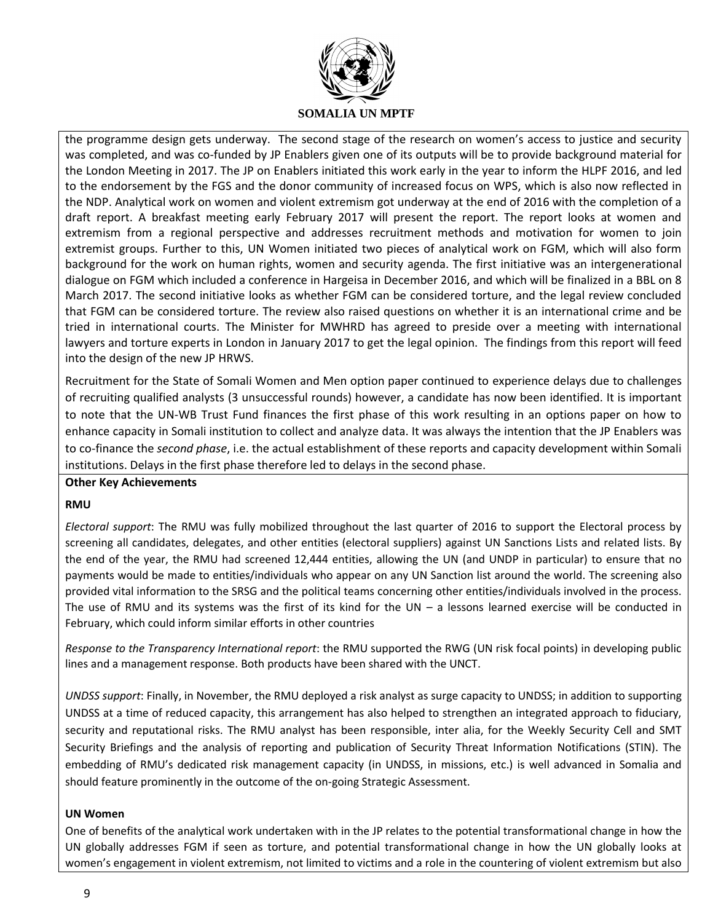

the programme design gets underway. The second stage of the research on women's access to justice and security was completed, and was co-funded by JP Enablers given one of its outputs will be to provide background material for the London Meeting in 2017. The JP on Enablers initiated this work early in the year to inform the HLPF 2016, and led to the endorsement by the FGS and the donor community of increased focus on WPS, which is also now reflected in the NDP. Analytical work on women and violent extremism got underway at the end of 2016 with the completion of a draft report. A breakfast meeting early February 2017 will present the report. The report looks at women and extremism from a regional perspective and addresses recruitment methods and motivation for women to join extremist groups. Further to this, UN Women initiated two pieces of analytical work on FGM, which will also form background for the work on human rights, women and security agenda. The first initiative was an intergenerational dialogue on FGM which included a conference in Hargeisa in December 2016, and which will be finalized in a BBL on 8 March 2017. The second initiative looks as whether FGM can be considered torture, and the legal review concluded that FGM can be considered torture. The review also raised questions on whether it is an international crime and be tried in international courts. The Minister for MWHRD has agreed to preside over a meeting with international lawyers and torture experts in London in January 2017 to get the legal opinion. The findings from this report will feed into the design of the new JP HRWS.

Recruitment for the State of Somali Women and Men option paper continued to experience delays due to challenges of recruiting qualified analysts (3 unsuccessful rounds) however, a candidate has now been identified. It is important to note that the UN-WB Trust Fund finances the first phase of this work resulting in an options paper on how to enhance capacity in Somali institution to collect and analyze data. It was always the intention that the JP Enablers was to co-finance the *second phase*, i.e. the actual establishment of these reports and capacity development within Somali institutions. Delays in the first phase therefore led to delays in the second phase.

# **Other Key Achievements**

# **RMU**

*Electoral support*: The RMU was fully mobilized throughout the last quarter of 2016 to support the Electoral process by screening all candidates, delegates, and other entities (electoral suppliers) against UN Sanctions Lists and related lists. By the end of the year, the RMU had screened 12,444 entities, allowing the UN (and UNDP in particular) to ensure that no payments would be made to entities/individuals who appear on any UN Sanction list around the world. The screening also provided vital information to the SRSG and the political teams concerning other entities/individuals involved in the process. The use of RMU and its systems was the first of its kind for the UN  $-$  a lessons learned exercise will be conducted in February, which could inform similar efforts in other countries

*Response to the Transparency International report*: the RMU supported the RWG (UN risk focal points) in developing public lines and a management response. Both products have been shared with the UNCT.

*UNDSS support*: Finally, in November, the RMU deployed a risk analyst as surge capacity to UNDSS; in addition to supporting UNDSS at a time of reduced capacity, this arrangement has also helped to strengthen an integrated approach to fiduciary, security and reputational risks. The RMU analyst has been responsible, inter alia, for the Weekly Security Cell and SMT Security Briefings and the analysis of reporting and publication of Security Threat Information Notifications (STIN). The embedding of RMU's dedicated risk management capacity (in UNDSS, in missions, etc.) is well advanced in Somalia and should feature prominently in the outcome of the on-going Strategic Assessment.

#### **UN Women**

One of benefits of the analytical work undertaken with in the JP relates to the potential transformational change in how the UN globally addresses FGM if seen as torture, and potential transformational change in how the UN globally looks at women's engagement in violent extremism, not limited to victims and a role in the countering of violent extremism but also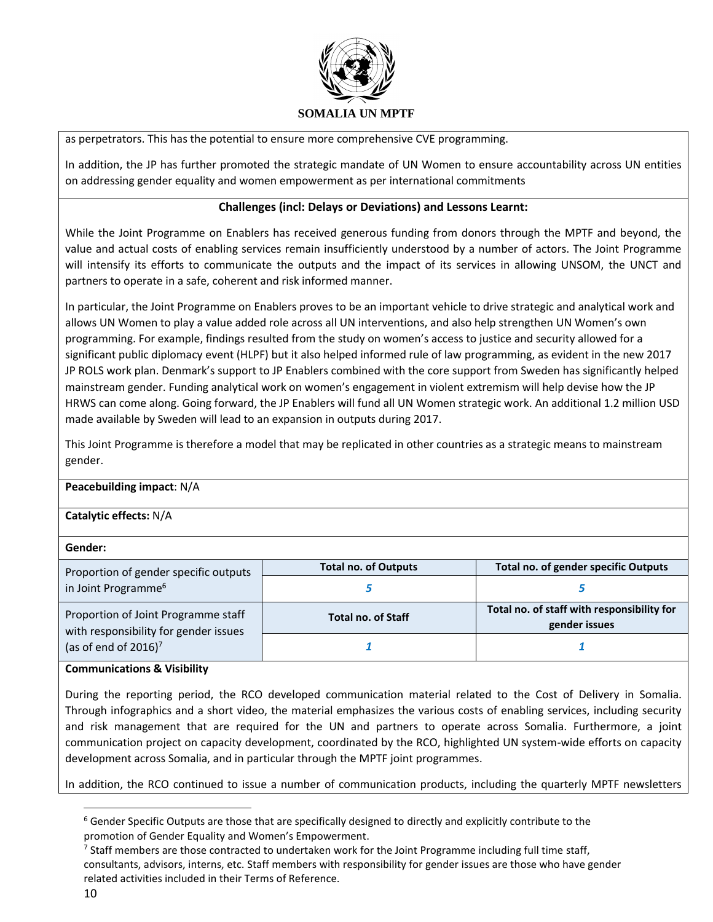

as perpetrators. This has the potential to ensure more comprehensive CVE programming.

In addition, the JP has further promoted the strategic mandate of UN Women to ensure accountability across UN entities on addressing gender equality and women empowerment as per international commitments

# **Challenges (incl: Delays or Deviations) and Lessons Learnt:**

While the Joint Programme on Enablers has received generous funding from donors through the MPTF and beyond, the value and actual costs of enabling services remain insufficiently understood by a number of actors. The Joint Programme will intensify its efforts to communicate the outputs and the impact of its services in allowing UNSOM, the UNCT and partners to operate in a safe, coherent and risk informed manner.

In particular, the Joint Programme on Enablers proves to be an important vehicle to drive strategic and analytical work and allows UN Women to play a value added role across all UN interventions, and also help strengthen UN Women's own programming. For example, findings resulted from the study on women's access to justice and security allowed for a significant public diplomacy event (HLPF) but it also helped informed rule of law programming, as evident in the new 2017 JP ROLS work plan. Denmark's support to JP Enablers combined with the core support from Sweden has significantly helped mainstream gender. Funding analytical work on women's engagement in violent extremism will help devise how the JP HRWS can come along. Going forward, the JP Enablers will fund all UN Women strategic work. An additional 1.2 million USD made available by Sweden will lead to an expansion in outputs during 2017.

This Joint Programme is therefore a model that may be replicated in other countries as a strategic means to mainstream gender.

#### **Peacebuilding impact**: N/A

# **Catalytic effects:** N/A

| Gender:                                                                      |                             |                                                             |  |  |
|------------------------------------------------------------------------------|-----------------------------|-------------------------------------------------------------|--|--|
| Proportion of gender specific outputs                                        | <b>Total no. of Outputs</b> | Total no. of gender specific Outputs                        |  |  |
| in Joint Programme <sup>6</sup>                                              |                             |                                                             |  |  |
| Proportion of Joint Programme staff<br>with responsibility for gender issues | <b>Total no. of Staff</b>   | Total no. of staff with responsibility for<br>gender issues |  |  |
| (as of end of $2016$ ) <sup>7</sup>                                          |                             |                                                             |  |  |

#### **Communications & Visibility**

During the reporting period, the RCO developed communication material related to the Cost of Delivery in Somalia. Through infographics and a short video, the material emphasizes the various costs of enabling services, including security and risk management that are required for the UN and partners to operate across Somalia. Furthermore, a joint communication project on capacity development, coordinated by the RCO, highlighted UN system-wide efforts on capacity development across Somalia, and in particular through the MPTF joint programmes.

In addition, the RCO continued to issue a number of communication products, including the quarterly MPTF newsletters

 $\overline{\phantom{a}}$ 

 $6$  Gender Specific Outputs are those that are specifically designed to directly and explicitly contribute to the promotion of Gender Equality and Women's Empowerment.

 $^7$  Staff members are those contracted to undertaken work for the Joint Programme including full time staff, consultants, advisors, interns, etc. Staff members with responsibility for gender issues are those who have gender related activities included in their Terms of Reference.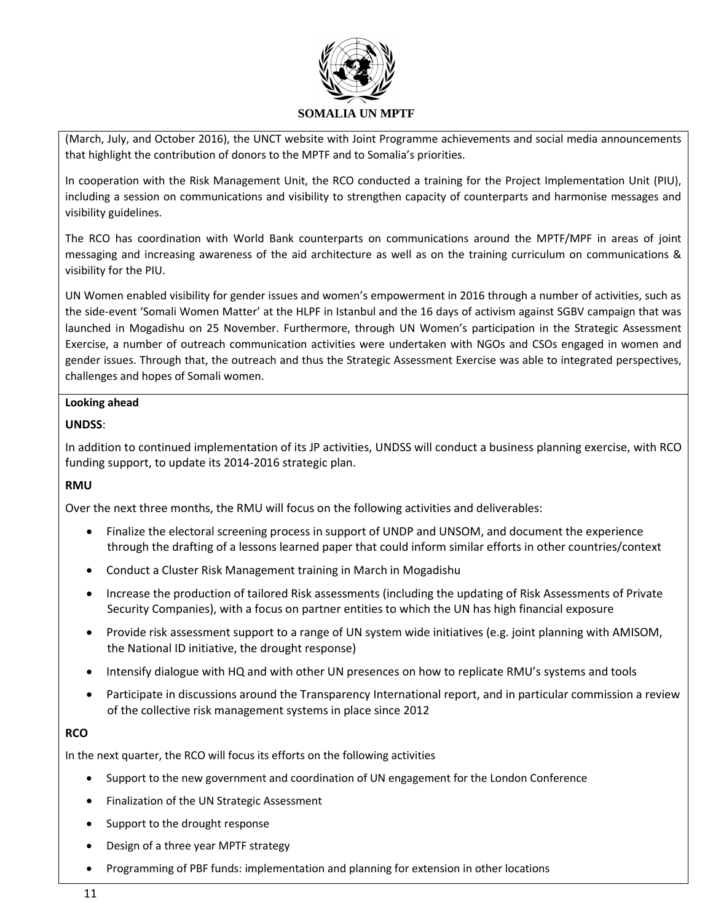

(March, July, and October 2016), the UNCT website with Joint Programme achievements and social media announcements that highlight the contribution of donors to the MPTF and to Somalia's priorities.

In cooperation with the Risk Management Unit, the RCO conducted a training for the Project Implementation Unit (PIU), including a session on communications and visibility to strengthen capacity of counterparts and harmonise messages and visibility guidelines.

The RCO has coordination with World Bank counterparts on communications around the MPTF/MPF in areas of joint messaging and increasing awareness of the aid architecture as well as on the training curriculum on communications & visibility for the PIU.

UN Women enabled visibility for gender issues and women's empowerment in 2016 through a number of activities, such as the side-event 'Somali Women Matter' at the HLPF in Istanbul and the 16 days of activism against SGBV campaign that was launched in Mogadishu on 25 November. Furthermore, through UN Women's participation in the Strategic Assessment Exercise, a number of outreach communication activities were undertaken with NGOs and CSOs engaged in women and gender issues. Through that, the outreach and thus the Strategic Assessment Exercise was able to integrated perspectives, challenges and hopes of Somali women.

### **Looking ahead**

### **UNDSS**:

In addition to continued implementation of its JP activities, UNDSS will conduct a business planning exercise, with RCO funding support, to update its 2014-2016 strategic plan.

# **RMU**

Over the next three months, the RMU will focus on the following activities and deliverables:

- Finalize the electoral screening process in support of UNDP and UNSOM, and document the experience through the drafting of a lessons learned paper that could inform similar efforts in other countries/context
- Conduct a Cluster Risk Management training in March in Mogadishu
- Increase the production of tailored Risk assessments (including the updating of Risk Assessments of Private Security Companies), with a focus on partner entities to which the UN has high financial exposure
- Provide risk assessment support to a range of UN system wide initiatives (e.g. joint planning with AMISOM, the National ID initiative, the drought response)
- Intensify dialogue with HQ and with other UN presences on how to replicate RMU's systems and tools
- Participate in discussions around the Transparency International report, and in particular commission a review of the collective risk management systems in place since 2012

# **RCO**

In the next quarter, the RCO will focus its efforts on the following activities

- Support to the new government and coordination of UN engagement for the London Conference
- Finalization of the UN Strategic Assessment
- Support to the drought response
- Design of a three year MPTF strategy
- Programming of PBF funds: implementation and planning for extension in other locations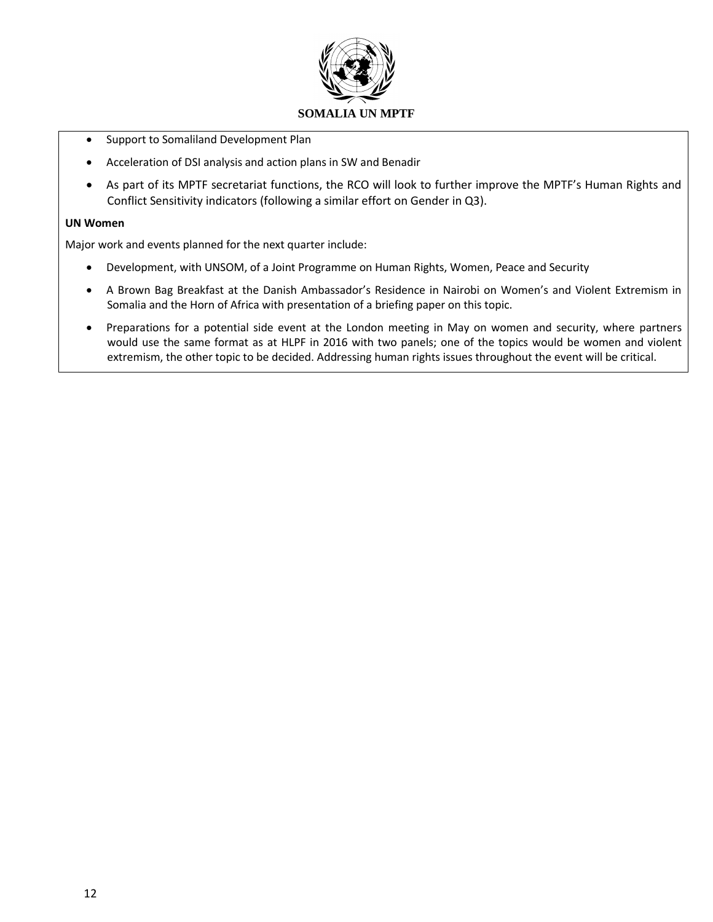

- Support to Somaliland Development Plan
- Acceleration of DSI analysis and action plans in SW and Benadir
- As part of its MPTF secretariat functions, the RCO will look to further improve the MPTF's Human Rights and Conflict Sensitivity indicators (following a similar effort on Gender in Q3).

#### **UN Women**

Major work and events planned for the next quarter include:

- Development, with UNSOM, of a Joint Programme on Human Rights, Women, Peace and Security
- A Brown Bag Breakfast at the Danish Ambassador's Residence in Nairobi on Women's and Violent Extremism in Somalia and the Horn of Africa with presentation of a briefing paper on this topic.
- Preparations for a potential side event at the London meeting in May on women and security, where partners would use the same format as at HLPF in 2016 with two panels; one of the topics would be women and violent extremism, the other topic to be decided. Addressing human rights issues throughout the event will be critical.